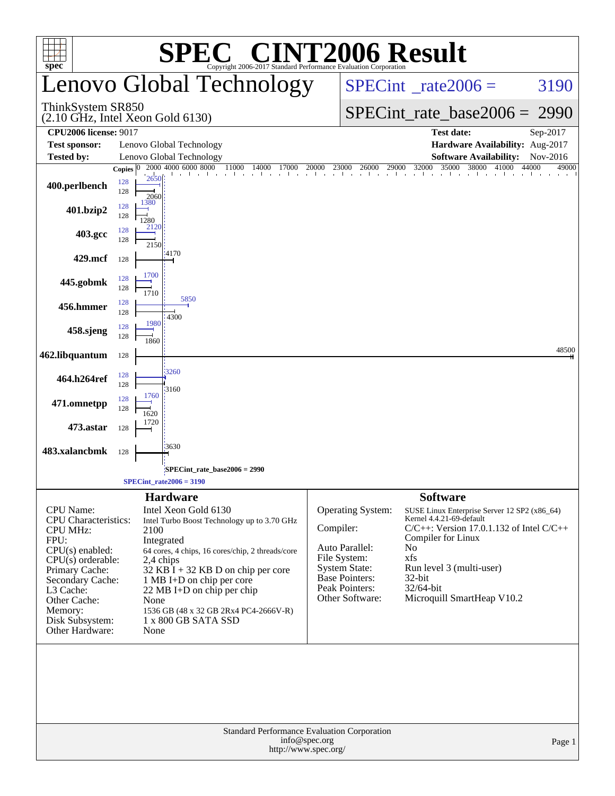| <b>SPEC<sup>®</sup> CINT2006 Result</b>                                                                                                                                                                                                    |                          |                                                                                                                                                                                                                                                                                                                                               |                                                                                                  |               |                                                                                                                                           |                                                                                                   |                                                                                                        |                                               |  |
|--------------------------------------------------------------------------------------------------------------------------------------------------------------------------------------------------------------------------------------------|--------------------------|-----------------------------------------------------------------------------------------------------------------------------------------------------------------------------------------------------------------------------------------------------------------------------------------------------------------------------------------------|--------------------------------------------------------------------------------------------------|---------------|-------------------------------------------------------------------------------------------------------------------------------------------|---------------------------------------------------------------------------------------------------|--------------------------------------------------------------------------------------------------------|-----------------------------------------------|--|
| $spec^*$                                                                                                                                                                                                                                   | Lenovo Global Technology |                                                                                                                                                                                                                                                                                                                                               | Copyright 2006-2017 Standard Performance Evaluation Corporation<br>$SPECint^{\circ}$ rate 2006 = |               |                                                                                                                                           | 3190                                                                                              |                                                                                                        |                                               |  |
| ThinkSystem SR850<br>$(2.10 \text{ GHz}, \text{Intel Xeon Gold } 6130)$                                                                                                                                                                    |                          |                                                                                                                                                                                                                                                                                                                                               |                                                                                                  |               |                                                                                                                                           |                                                                                                   |                                                                                                        | $SPECint_rate_base2006 = 2990$                |  |
| <b>CPU2006 license: 9017</b>                                                                                                                                                                                                               |                          |                                                                                                                                                                                                                                                                                                                                               |                                                                                                  |               |                                                                                                                                           | <b>Test date:</b>                                                                                 | Sep-2017                                                                                               |                                               |  |
| <b>Test sponsor:</b>                                                                                                                                                                                                                       |                          | Lenovo Global Technology                                                                                                                                                                                                                                                                                                                      |                                                                                                  |               |                                                                                                                                           |                                                                                                   | Hardware Availability: Aug-2017                                                                        |                                               |  |
| Tested by:                                                                                                                                                                                                                                 | Copies $ 0 $             | Lenovo Global Technology<br>2000 4000 6000 8000                                                                                                                                                                                                                                                                                               | 11000<br>14000<br>17000                                                                          | 20000         |                                                                                                                                           | 32000                                                                                             | <b>Software Availability:</b><br>35000<br>38000<br>41000                                               | Nov-2016<br>44000<br>49000                    |  |
| 400.perlbench                                                                                                                                                                                                                              | 128<br>128               | 2650<br>2060                                                                                                                                                                                                                                                                                                                                  |                                                                                                  |               | $23000$ $26000$ $29000$                                                                                                                   | and the com-                                                                                      |                                                                                                        |                                               |  |
| 401.bzip2                                                                                                                                                                                                                                  | 128<br>128               | 1380<br>1280<br>2120                                                                                                                                                                                                                                                                                                                          |                                                                                                  |               |                                                                                                                                           |                                                                                                   |                                                                                                        |                                               |  |
| 403.gcc                                                                                                                                                                                                                                    | 128<br>128               | 2150                                                                                                                                                                                                                                                                                                                                          |                                                                                                  |               |                                                                                                                                           |                                                                                                   |                                                                                                        |                                               |  |
| 429.mcf                                                                                                                                                                                                                                    | 128                      | 4170                                                                                                                                                                                                                                                                                                                                          |                                                                                                  |               |                                                                                                                                           |                                                                                                   |                                                                                                        |                                               |  |
| 445.gobmk                                                                                                                                                                                                                                  | 128<br>128               | 1700<br>1710                                                                                                                                                                                                                                                                                                                                  |                                                                                                  |               |                                                                                                                                           |                                                                                                   |                                                                                                        |                                               |  |
| 456.hmmer                                                                                                                                                                                                                                  | 128<br>128               | 5850<br>4300                                                                                                                                                                                                                                                                                                                                  |                                                                                                  |               |                                                                                                                                           |                                                                                                   |                                                                                                        |                                               |  |
| 458.sjeng                                                                                                                                                                                                                                  | 128<br>128               | 1980<br>1860                                                                                                                                                                                                                                                                                                                                  |                                                                                                  |               |                                                                                                                                           |                                                                                                   |                                                                                                        |                                               |  |
| 462.libquantum                                                                                                                                                                                                                             | 128                      |                                                                                                                                                                                                                                                                                                                                               |                                                                                                  |               |                                                                                                                                           |                                                                                                   |                                                                                                        | 48500                                         |  |
| 464.h264ref                                                                                                                                                                                                                                | 128<br>128               | 3260<br>3160                                                                                                                                                                                                                                                                                                                                  |                                                                                                  |               |                                                                                                                                           |                                                                                                   |                                                                                                        |                                               |  |
| 471.omnetpp                                                                                                                                                                                                                                | 128<br>128               | 1760<br>1620                                                                                                                                                                                                                                                                                                                                  |                                                                                                  |               |                                                                                                                                           |                                                                                                   |                                                                                                        |                                               |  |
| 473.astar                                                                                                                                                                                                                                  | 128                      | 1720                                                                                                                                                                                                                                                                                                                                          |                                                                                                  |               |                                                                                                                                           |                                                                                                   |                                                                                                        |                                               |  |
| 483.xalancbmk                                                                                                                                                                                                                              | 128                      | 3630                                                                                                                                                                                                                                                                                                                                          |                                                                                                  |               |                                                                                                                                           |                                                                                                   |                                                                                                        |                                               |  |
|                                                                                                                                                                                                                                            |                          | SPECint_rate_base2006 = 2990;<br>$SPECint_rate2006 = 3190$                                                                                                                                                                                                                                                                                    |                                                                                                  |               |                                                                                                                                           |                                                                                                   |                                                                                                        |                                               |  |
|                                                                                                                                                                                                                                            |                          | <b>Hardware</b>                                                                                                                                                                                                                                                                                                                               |                                                                                                  |               |                                                                                                                                           | <b>Software</b>                                                                                   |                                                                                                        |                                               |  |
| <b>CPU</b> Name:<br><b>CPU</b> Characteristics:<br><b>CPU MHz:</b><br>FPU:<br>$CPU(s)$ enabled:<br>$CPU(s)$ orderable:<br>Primary Cache:<br>Secondary Cache:<br>L3 Cache:<br>Other Cache:<br>Memory:<br>Disk Subsystem:<br>Other Hardware: |                          | Intel Xeon Gold 6130<br>Intel Turbo Boost Technology up to 3.70 GHz<br>2100<br>Integrated<br>64 cores, 4 chips, 16 cores/chip, 2 threads/core<br>2,4 chips<br>$32$ KB I + 32 KB D on chip per core<br>1 MB I+D on chip per core<br>22 MB I+D on chip per chip<br>None<br>1536 GB (48 x 32 GB 2Rx4 PC4-2666V-R)<br>1 x 800 GB SATA SSD<br>None |                                                                                                  | Compiler:     | Operating System:<br>Auto Parallel:<br>File System:<br><b>System State:</b><br><b>Base Pointers:</b><br>Peak Pointers:<br>Other Software: | Kernel 4.4.21-69-default<br>Compiler for Linux<br>N <sub>0</sub><br>xfs<br>$32$ -bit<br>32/64-bit | SUSE Linux Enterprise Server 12 SP2 (x86_64)<br>Run level 3 (multi-user)<br>Microquill SmartHeap V10.2 | $C/C++$ : Version 17.0.1.132 of Intel $C/C++$ |  |
|                                                                                                                                                                                                                                            |                          |                                                                                                                                                                                                                                                                                                                                               | Standard Performance Evaluation Corporation<br>http://www.spec.org/                              | info@spec.org |                                                                                                                                           |                                                                                                   |                                                                                                        | Page 1                                        |  |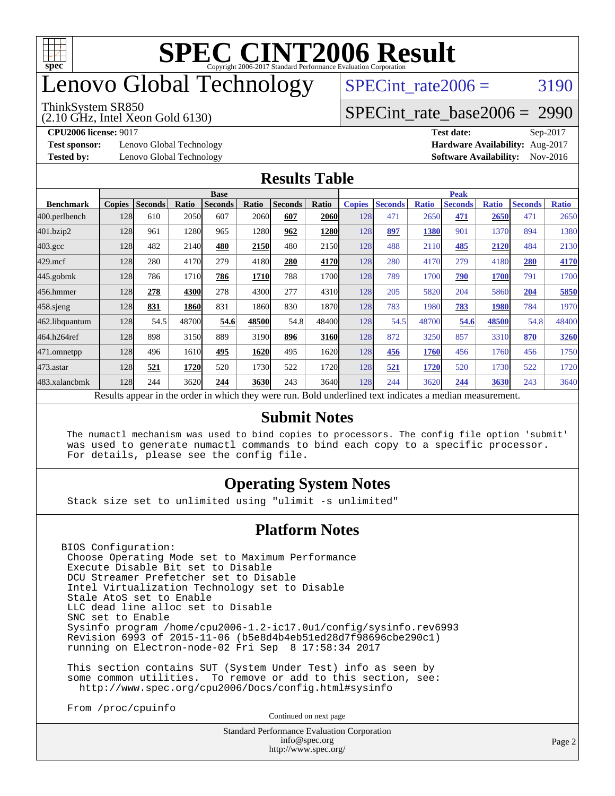

# enovo Global Technology

#### ThinkSystem SR850

(2.10 GHz, Intel Xeon Gold 6130)

SPECint rate $2006 = 3190$ 

[SPECint\\_rate\\_base2006 =](http://www.spec.org/auto/cpu2006/Docs/result-fields.html#SPECintratebase2006) 2990

**[Test sponsor:](http://www.spec.org/auto/cpu2006/Docs/result-fields.html#Testsponsor)** Lenovo Global Technology **[Hardware Availability:](http://www.spec.org/auto/cpu2006/Docs/result-fields.html#HardwareAvailability)** Aug-2017

**[CPU2006 license:](http://www.spec.org/auto/cpu2006/Docs/result-fields.html#CPU2006license)** 9017 **[Test date:](http://www.spec.org/auto/cpu2006/Docs/result-fields.html#Testdate)** Sep-2017 **[Tested by:](http://www.spec.org/auto/cpu2006/Docs/result-fields.html#Testedby)** Lenovo Global Technology **[Software Availability:](http://www.spec.org/auto/cpu2006/Docs/result-fields.html#SoftwareAvailability)** Nov-2016

#### **[Results Table](http://www.spec.org/auto/cpu2006/Docs/result-fields.html#ResultsTable)**

|                                                                                                          | <b>Base</b>   |                |       |                |       |                |       |               | <b>Peak</b>    |              |                |              |                |              |  |
|----------------------------------------------------------------------------------------------------------|---------------|----------------|-------|----------------|-------|----------------|-------|---------------|----------------|--------------|----------------|--------------|----------------|--------------|--|
| <b>Benchmark</b>                                                                                         | <b>Copies</b> | <b>Seconds</b> | Ratio | <b>Seconds</b> | Ratio | <b>Seconds</b> | Ratio | <b>Copies</b> | <b>Seconds</b> | <b>Ratio</b> | <b>Seconds</b> | <b>Ratio</b> | <b>Seconds</b> | <b>Ratio</b> |  |
| 400.perlbench                                                                                            | 128           | 610            | 2050  | 607            | 2060  | 607            | 2060  | 128           | 471            | 2650         | 471            | 2650         | 471            | 2650         |  |
| 401.bzip2                                                                                                | 128           | 961            | 1280  | 965            | 1280  | 962            | 1280  | 128           | <u>897</u>     | 1380         | 901            | 1370         | 894            | 1380         |  |
| $403.\mathrm{gcc}$                                                                                       | 128           | 482            | 2140  | 480            | 2150  | 480            | 2150  | 128           | 488            | 2110         | 485            | 2120         | 484            | 2130         |  |
| $429$ .mcf                                                                                               | 128           | 280            | 4170  | 279            | 4180  | 280            | 4170  | 128           | 280            | 4170         | 279            | 4180         | 280            | 4170         |  |
| $445$ .gobm $k$                                                                                          | 128           | 786            | 1710  | 786            | 1710  | 788            | 1700l | 128           | 789            | 1700         | 790            | 1700         | 791            | 1700         |  |
| 456.hmmer                                                                                                | 128           | 278            | 4300  | 278            | 4300  | 277            | 4310  | 128           | 205            | 5820         | 204            | 5860         | 204            | 5850         |  |
| $458$ sjeng                                                                                              | 128           | 831            | 1860  | 831            | 1860  | 830            | 1870  | 128           | 783            | 1980         | 783            | 1980         | 784            | 1970         |  |
| 462.libquantum                                                                                           | 128           | 54.5           | 48700 | 54.6           | 48500 | 54.8           | 48400 | 128           | 54.5           | 48700        | 54.6           | 48500        | 54.8           | 48400        |  |
| 464.h264ref                                                                                              | 128           | 898            | 3150  | 889            | 3190  | 896            | 3160  | 128           | 872            | 3250         | 857            | 3310         | 870            | 3260         |  |
| 471.omnetpp                                                                                              | 128           | 496            | 1610  | 495            | 1620  | 495            | 1620  | 128           | 456            | 1760         | 456            | 1760         | 456            | 1750         |  |
| $473.$ astar                                                                                             | 128           | 521            | 1720  | 520            | 1730  | 522            | 1720  | 128           | 521            | 1720         | 520            | 1730         | 522            | 1720         |  |
| 483.xalancbmk                                                                                            | 128           | 244            | 3620  | 244            | 3630  | 243            | 3640  | 128           | 244            | 3620         | 244            | 3630         | 243            | 3640         |  |
| Results appear in the order in which they were run. Bold underlined text indicates a median measurement. |               |                |       |                |       |                |       |               |                |              |                |              |                |              |  |

### **[Submit Notes](http://www.spec.org/auto/cpu2006/Docs/result-fields.html#SubmitNotes)**

 The numactl mechanism was used to bind copies to processors. The config file option 'submit' was used to generate numactl commands to bind each copy to a specific processor. For details, please see the config file.

### **[Operating System Notes](http://www.spec.org/auto/cpu2006/Docs/result-fields.html#OperatingSystemNotes)**

Stack size set to unlimited using "ulimit -s unlimited"

### **[Platform Notes](http://www.spec.org/auto/cpu2006/Docs/result-fields.html#PlatformNotes)**

BIOS Configuration: Choose Operating Mode set to Maximum Performance Execute Disable Bit set to Disable DCU Streamer Prefetcher set to Disable Intel Virtualization Technology set to Disable Stale AtoS set to Enable LLC dead line alloc set to Disable SNC set to Enable Sysinfo program /home/cpu2006-1.2-ic17.0u1/config/sysinfo.rev6993 Revision 6993 of 2015-11-06 (b5e8d4b4eb51ed28d7f98696cbe290c1) running on Electron-node-02 Fri Sep 8 17:58:34 2017

 This section contains SUT (System Under Test) info as seen by some common utilities. To remove or add to this section, see: <http://www.spec.org/cpu2006/Docs/config.html#sysinfo>

From /proc/cpuinfo

Continued on next page

Standard Performance Evaluation Corporation [info@spec.org](mailto:info@spec.org) <http://www.spec.org/>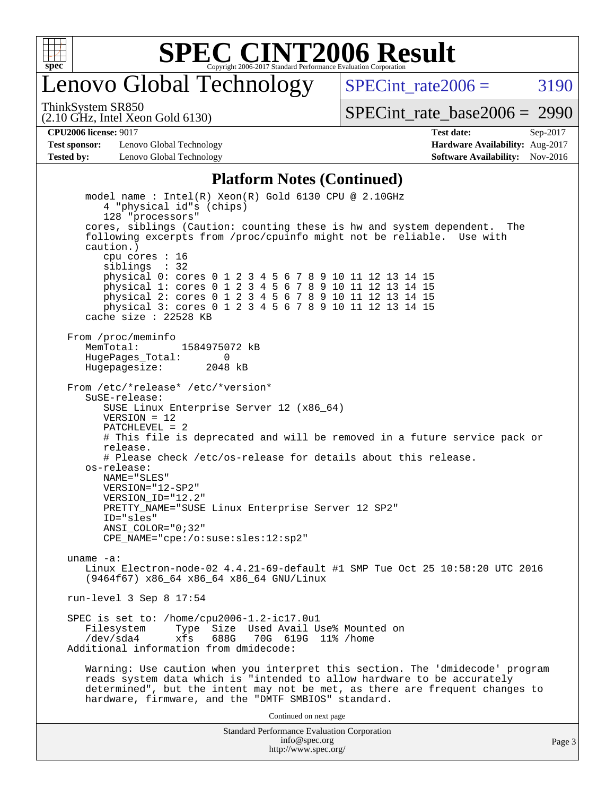

# enovo Global Technology

SPECint rate $2006 = 3190$ 

(2.10 GHz, Intel Xeon Gold 6130) ThinkSystem SR850

[SPECint\\_rate\\_base2006 =](http://www.spec.org/auto/cpu2006/Docs/result-fields.html#SPECintratebase2006) 2990

**[Test sponsor:](http://www.spec.org/auto/cpu2006/Docs/result-fields.html#Testsponsor)** Lenovo Global Technology **[Hardware Availability:](http://www.spec.org/auto/cpu2006/Docs/result-fields.html#HardwareAvailability)** Aug-2017 **[Tested by:](http://www.spec.org/auto/cpu2006/Docs/result-fields.html#Testedby)** Lenovo Global Technology **[Software Availability:](http://www.spec.org/auto/cpu2006/Docs/result-fields.html#SoftwareAvailability)** Nov-2016

**[CPU2006 license:](http://www.spec.org/auto/cpu2006/Docs/result-fields.html#CPU2006license)** 9017 **[Test date:](http://www.spec.org/auto/cpu2006/Docs/result-fields.html#Testdate)** Sep-2017

#### **[Platform Notes \(Continued\)](http://www.spec.org/auto/cpu2006/Docs/result-fields.html#PlatformNotes)**

Standard Performance Evaluation Corporation model name : Intel(R) Xeon(R) Gold 6130 CPU @ 2.10GHz 4 "physical id"s (chips) 128 "processors" cores, siblings (Caution: counting these is hw and system dependent. The following excerpts from /proc/cpuinfo might not be reliable. Use with caution.) cpu cores : 16 siblings : 32 physical 0: cores 0 1 2 3 4 5 6 7 8 9 10 11 12 13 14 15 physical 1: cores 0 1 2 3 4 5 6 7 8 9 10 11 12 13 14 15 physical 2: cores 0 1 2 3 4 5 6 7 8 9 10 11 12 13 14 15 physical 3: cores 0 1 2 3 4 5 6 7 8 9 10 11 12 13 14 15 cache size : 22528 KB From /proc/meminfo MemTotal: 1584975072 kB<br>HugeBages Total: 0 HugePages\_Total: 0 Hugepagesize: 2048 kB From /etc/\*release\* /etc/\*version\* SuSE-release: SUSE Linux Enterprise Server 12 (x86\_64)  $VFRSTON = 12$  PATCHLEVEL = 2 # This file is deprecated and will be removed in a future service pack or release. # Please check /etc/os-release for details about this release. os-release: NAME="SLES" VERSION="12-SP2" VERSION\_ID="12.2" PRETTY\_NAME="SUSE Linux Enterprise Server 12 SP2" ID="sles" ANSI\_COLOR="0;32" CPE\_NAME="cpe:/o:suse:sles:12:sp2" uname -a: Linux Electron-node-02 4.4.21-69-default #1 SMP Tue Oct 25 10:58:20 UTC 2016 (9464f67) x86\_64 x86\_64 x86\_64 GNU/Linux run-level 3 Sep 8 17:54 SPEC is set to: /home/cpu2006-1.2-ic17.0u1 Type Size Used Avail Use% Mounted on /dev/sda4 xfs 688G 70G 619G 11% /home Additional information from dmidecode: Warning: Use caution when you interpret this section. The 'dmidecode' program reads system data which is "intended to allow hardware to be accurately determined", but the intent may not be met, as there are frequent changes to hardware, firmware, and the "DMTF SMBIOS" standard. Continued on next page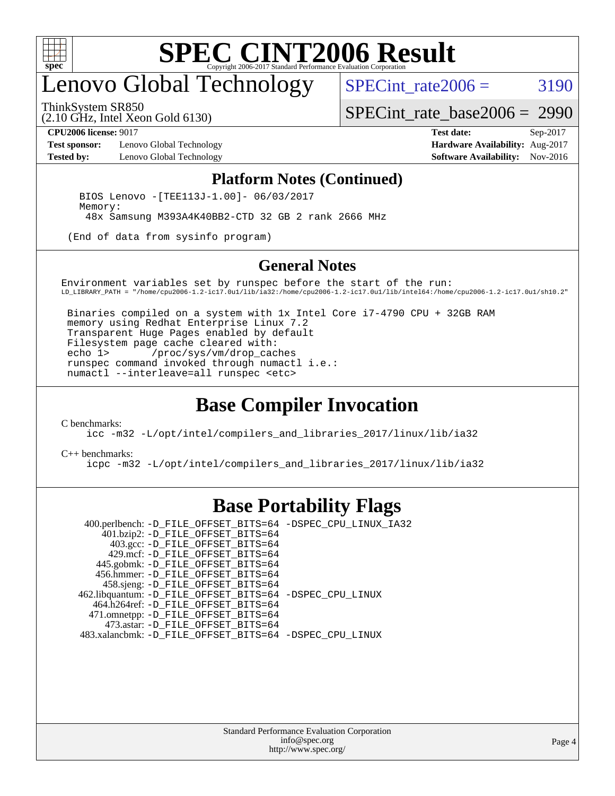

# enovo Global Technology

ThinkSystem SR850

SPECint rate $2006 = 3190$ 

(2.10 GHz, Intel Xeon Gold 6130)

[SPECint\\_rate\\_base2006 =](http://www.spec.org/auto/cpu2006/Docs/result-fields.html#SPECintratebase2006) 2990

**[Test sponsor:](http://www.spec.org/auto/cpu2006/Docs/result-fields.html#Testsponsor)** Lenovo Global Technology **[Hardware Availability:](http://www.spec.org/auto/cpu2006/Docs/result-fields.html#HardwareAvailability)** Aug-2017

**[CPU2006 license:](http://www.spec.org/auto/cpu2006/Docs/result-fields.html#CPU2006license)** 9017 **[Test date:](http://www.spec.org/auto/cpu2006/Docs/result-fields.html#Testdate)** Sep-2017 **[Tested by:](http://www.spec.org/auto/cpu2006/Docs/result-fields.html#Testedby)** Lenovo Global Technology **[Software Availability:](http://www.spec.org/auto/cpu2006/Docs/result-fields.html#SoftwareAvailability)** Nov-2016

#### **[Platform Notes \(Continued\)](http://www.spec.org/auto/cpu2006/Docs/result-fields.html#PlatformNotes)**

 BIOS Lenovo -[TEE113J-1.00]- 06/03/2017 Memory: 48x Samsung M393A4K40BB2-CTD 32 GB 2 rank 2666 MHz

(End of data from sysinfo program)

#### **[General Notes](http://www.spec.org/auto/cpu2006/Docs/result-fields.html#GeneralNotes)**

Environment variables set by runspec before the start of the run: LD\_LIBRARY\_PATH = "/home/cpu2006-1.2-ic17.0u1/lib/ia32:/home/cpu2006-1.2-ic17.0u1/lib/intel64:/home/cpu2006-1.2-ic17.0u1/sh10.2"

 Binaries compiled on a system with 1x Intel Core i7-4790 CPU + 32GB RAM memory using Redhat Enterprise Linux 7.2 Transparent Huge Pages enabled by default Filesystem page cache cleared with: echo 1> /proc/sys/vm/drop\_caches runspec command invoked through numactl i.e.: numactl --interleave=all runspec <etc>

### **[Base Compiler Invocation](http://www.spec.org/auto/cpu2006/Docs/result-fields.html#BaseCompilerInvocation)**

[C benchmarks](http://www.spec.org/auto/cpu2006/Docs/result-fields.html#Cbenchmarks):

[icc -m32 -L/opt/intel/compilers\\_and\\_libraries\\_2017/linux/lib/ia32](http://www.spec.org/cpu2006/results/res2017q4/cpu2006-20170918-49938.flags.html#user_CCbase_intel_icc_c29f3ff5a7ed067b11e4ec10a03f03ae)

[C++ benchmarks:](http://www.spec.org/auto/cpu2006/Docs/result-fields.html#CXXbenchmarks)

[icpc -m32 -L/opt/intel/compilers\\_and\\_libraries\\_2017/linux/lib/ia32](http://www.spec.org/cpu2006/results/res2017q4/cpu2006-20170918-49938.flags.html#user_CXXbase_intel_icpc_8c35c7808b62dab9ae41a1aa06361b6b)

### **[Base Portability Flags](http://www.spec.org/auto/cpu2006/Docs/result-fields.html#BasePortabilityFlags)**

 400.perlbench: [-D\\_FILE\\_OFFSET\\_BITS=64](http://www.spec.org/cpu2006/results/res2017q4/cpu2006-20170918-49938.flags.html#user_basePORTABILITY400_perlbench_file_offset_bits_64_438cf9856305ebd76870a2c6dc2689ab) [-DSPEC\\_CPU\\_LINUX\\_IA32](http://www.spec.org/cpu2006/results/res2017q4/cpu2006-20170918-49938.flags.html#b400.perlbench_baseCPORTABILITY_DSPEC_CPU_LINUX_IA32) 401.bzip2: [-D\\_FILE\\_OFFSET\\_BITS=64](http://www.spec.org/cpu2006/results/res2017q4/cpu2006-20170918-49938.flags.html#user_basePORTABILITY401_bzip2_file_offset_bits_64_438cf9856305ebd76870a2c6dc2689ab) 403.gcc: [-D\\_FILE\\_OFFSET\\_BITS=64](http://www.spec.org/cpu2006/results/res2017q4/cpu2006-20170918-49938.flags.html#user_basePORTABILITY403_gcc_file_offset_bits_64_438cf9856305ebd76870a2c6dc2689ab) 429.mcf: [-D\\_FILE\\_OFFSET\\_BITS=64](http://www.spec.org/cpu2006/results/res2017q4/cpu2006-20170918-49938.flags.html#user_basePORTABILITY429_mcf_file_offset_bits_64_438cf9856305ebd76870a2c6dc2689ab) 445.gobmk: [-D\\_FILE\\_OFFSET\\_BITS=64](http://www.spec.org/cpu2006/results/res2017q4/cpu2006-20170918-49938.flags.html#user_basePORTABILITY445_gobmk_file_offset_bits_64_438cf9856305ebd76870a2c6dc2689ab) 456.hmmer: [-D\\_FILE\\_OFFSET\\_BITS=64](http://www.spec.org/cpu2006/results/res2017q4/cpu2006-20170918-49938.flags.html#user_basePORTABILITY456_hmmer_file_offset_bits_64_438cf9856305ebd76870a2c6dc2689ab) 458.sjeng: [-D\\_FILE\\_OFFSET\\_BITS=64](http://www.spec.org/cpu2006/results/res2017q4/cpu2006-20170918-49938.flags.html#user_basePORTABILITY458_sjeng_file_offset_bits_64_438cf9856305ebd76870a2c6dc2689ab) 462.libquantum: [-D\\_FILE\\_OFFSET\\_BITS=64](http://www.spec.org/cpu2006/results/res2017q4/cpu2006-20170918-49938.flags.html#user_basePORTABILITY462_libquantum_file_offset_bits_64_438cf9856305ebd76870a2c6dc2689ab) [-DSPEC\\_CPU\\_LINUX](http://www.spec.org/cpu2006/results/res2017q4/cpu2006-20170918-49938.flags.html#b462.libquantum_baseCPORTABILITY_DSPEC_CPU_LINUX) 464.h264ref: [-D\\_FILE\\_OFFSET\\_BITS=64](http://www.spec.org/cpu2006/results/res2017q4/cpu2006-20170918-49938.flags.html#user_basePORTABILITY464_h264ref_file_offset_bits_64_438cf9856305ebd76870a2c6dc2689ab) 471.omnetpp: [-D\\_FILE\\_OFFSET\\_BITS=64](http://www.spec.org/cpu2006/results/res2017q4/cpu2006-20170918-49938.flags.html#user_basePORTABILITY471_omnetpp_file_offset_bits_64_438cf9856305ebd76870a2c6dc2689ab) 473.astar: [-D\\_FILE\\_OFFSET\\_BITS=64](http://www.spec.org/cpu2006/results/res2017q4/cpu2006-20170918-49938.flags.html#user_basePORTABILITY473_astar_file_offset_bits_64_438cf9856305ebd76870a2c6dc2689ab) 483.xalancbmk: [-D\\_FILE\\_OFFSET\\_BITS=64](http://www.spec.org/cpu2006/results/res2017q4/cpu2006-20170918-49938.flags.html#user_basePORTABILITY483_xalancbmk_file_offset_bits_64_438cf9856305ebd76870a2c6dc2689ab) [-DSPEC\\_CPU\\_LINUX](http://www.spec.org/cpu2006/results/res2017q4/cpu2006-20170918-49938.flags.html#b483.xalancbmk_baseCXXPORTABILITY_DSPEC_CPU_LINUX)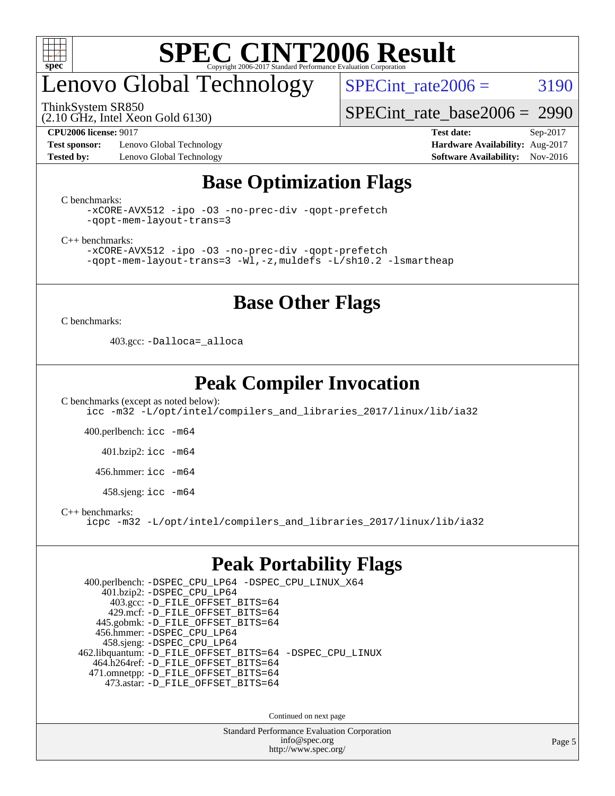

# enovo Global Technology

ThinkSystem SR850

(2.10 GHz, Intel Xeon Gold 6130)

SPECint rate $2006 = 3190$ 

[SPECint\\_rate\\_base2006 =](http://www.spec.org/auto/cpu2006/Docs/result-fields.html#SPECintratebase2006) 2990

**[Test sponsor:](http://www.spec.org/auto/cpu2006/Docs/result-fields.html#Testsponsor)** Lenovo Global Technology **[Hardware Availability:](http://www.spec.org/auto/cpu2006/Docs/result-fields.html#HardwareAvailability)** Aug-2017 **[Tested by:](http://www.spec.org/auto/cpu2006/Docs/result-fields.html#Testedby)** Lenovo Global Technology **[Software Availability:](http://www.spec.org/auto/cpu2006/Docs/result-fields.html#SoftwareAvailability)** Nov-2016

**[CPU2006 license:](http://www.spec.org/auto/cpu2006/Docs/result-fields.html#CPU2006license)** 9017 **[Test date:](http://www.spec.org/auto/cpu2006/Docs/result-fields.html#Testdate)** Sep-2017

### **[Base Optimization Flags](http://www.spec.org/auto/cpu2006/Docs/result-fields.html#BaseOptimizationFlags)**

[C benchmarks](http://www.spec.org/auto/cpu2006/Docs/result-fields.html#Cbenchmarks):

```
-xCORE-AVX512 -ipo -O3 -no-prec-div -qopt-prefetch
-qopt-mem-layout-trans=3
```
[C++ benchmarks:](http://www.spec.org/auto/cpu2006/Docs/result-fields.html#CXXbenchmarks)

[-xCORE-AVX512](http://www.spec.org/cpu2006/results/res2017q4/cpu2006-20170918-49938.flags.html#user_CXXbase_f-xCORE-AVX512) [-ipo](http://www.spec.org/cpu2006/results/res2017q4/cpu2006-20170918-49938.flags.html#user_CXXbase_f-ipo) [-O3](http://www.spec.org/cpu2006/results/res2017q4/cpu2006-20170918-49938.flags.html#user_CXXbase_f-O3) [-no-prec-div](http://www.spec.org/cpu2006/results/res2017q4/cpu2006-20170918-49938.flags.html#user_CXXbase_f-no-prec-div) [-qopt-prefetch](http://www.spec.org/cpu2006/results/res2017q4/cpu2006-20170918-49938.flags.html#user_CXXbase_f-qopt-prefetch) [-qopt-mem-layout-trans=3](http://www.spec.org/cpu2006/results/res2017q4/cpu2006-20170918-49938.flags.html#user_CXXbase_f-qopt-mem-layout-trans_170f5be61cd2cedc9b54468c59262d5d) [-Wl,-z,muldefs](http://www.spec.org/cpu2006/results/res2017q4/cpu2006-20170918-49938.flags.html#user_CXXbase_link_force_multiple1_74079c344b956b9658436fd1b6dd3a8a) [-L/sh10.2 -lsmartheap](http://www.spec.org/cpu2006/results/res2017q4/cpu2006-20170918-49938.flags.html#user_CXXbase_SmartHeap_b831f2d313e2fffa6dfe3f00ffc1f1c0)

### **[Base Other Flags](http://www.spec.org/auto/cpu2006/Docs/result-fields.html#BaseOtherFlags)**

[C benchmarks](http://www.spec.org/auto/cpu2006/Docs/result-fields.html#Cbenchmarks):

403.gcc: [-Dalloca=\\_alloca](http://www.spec.org/cpu2006/results/res2017q4/cpu2006-20170918-49938.flags.html#b403.gcc_baseEXTRA_CFLAGS_Dalloca_be3056838c12de2578596ca5467af7f3)

### **[Peak Compiler Invocation](http://www.spec.org/auto/cpu2006/Docs/result-fields.html#PeakCompilerInvocation)**

[C benchmarks \(except as noted below\)](http://www.spec.org/auto/cpu2006/Docs/result-fields.html#Cbenchmarksexceptasnotedbelow): [icc -m32 -L/opt/intel/compilers\\_and\\_libraries\\_2017/linux/lib/ia32](http://www.spec.org/cpu2006/results/res2017q4/cpu2006-20170918-49938.flags.html#user_CCpeak_intel_icc_c29f3ff5a7ed067b11e4ec10a03f03ae)

400.perlbench: [icc -m64](http://www.spec.org/cpu2006/results/res2017q4/cpu2006-20170918-49938.flags.html#user_peakCCLD400_perlbench_intel_icc_64bit_bda6cc9af1fdbb0edc3795bac97ada53)

401.bzip2: [icc -m64](http://www.spec.org/cpu2006/results/res2017q4/cpu2006-20170918-49938.flags.html#user_peakCCLD401_bzip2_intel_icc_64bit_bda6cc9af1fdbb0edc3795bac97ada53)

456.hmmer: [icc -m64](http://www.spec.org/cpu2006/results/res2017q4/cpu2006-20170918-49938.flags.html#user_peakCCLD456_hmmer_intel_icc_64bit_bda6cc9af1fdbb0edc3795bac97ada53)

458.sjeng: [icc -m64](http://www.spec.org/cpu2006/results/res2017q4/cpu2006-20170918-49938.flags.html#user_peakCCLD458_sjeng_intel_icc_64bit_bda6cc9af1fdbb0edc3795bac97ada53)

[C++ benchmarks:](http://www.spec.org/auto/cpu2006/Docs/result-fields.html#CXXbenchmarks)

[icpc -m32 -L/opt/intel/compilers\\_and\\_libraries\\_2017/linux/lib/ia32](http://www.spec.org/cpu2006/results/res2017q4/cpu2006-20170918-49938.flags.html#user_CXXpeak_intel_icpc_8c35c7808b62dab9ae41a1aa06361b6b)

### **[Peak Portability Flags](http://www.spec.org/auto/cpu2006/Docs/result-fields.html#PeakPortabilityFlags)**

 400.perlbench: [-DSPEC\\_CPU\\_LP64](http://www.spec.org/cpu2006/results/res2017q4/cpu2006-20170918-49938.flags.html#b400.perlbench_peakCPORTABILITY_DSPEC_CPU_LP64) [-DSPEC\\_CPU\\_LINUX\\_X64](http://www.spec.org/cpu2006/results/res2017q4/cpu2006-20170918-49938.flags.html#b400.perlbench_peakCPORTABILITY_DSPEC_CPU_LINUX_X64) 401.bzip2: [-DSPEC\\_CPU\\_LP64](http://www.spec.org/cpu2006/results/res2017q4/cpu2006-20170918-49938.flags.html#suite_peakCPORTABILITY401_bzip2_DSPEC_CPU_LP64) 403.gcc: [-D\\_FILE\\_OFFSET\\_BITS=64](http://www.spec.org/cpu2006/results/res2017q4/cpu2006-20170918-49938.flags.html#user_peakPORTABILITY403_gcc_file_offset_bits_64_438cf9856305ebd76870a2c6dc2689ab) 429.mcf: [-D\\_FILE\\_OFFSET\\_BITS=64](http://www.spec.org/cpu2006/results/res2017q4/cpu2006-20170918-49938.flags.html#user_peakPORTABILITY429_mcf_file_offset_bits_64_438cf9856305ebd76870a2c6dc2689ab) 445.gobmk: [-D\\_FILE\\_OFFSET\\_BITS=64](http://www.spec.org/cpu2006/results/res2017q4/cpu2006-20170918-49938.flags.html#user_peakPORTABILITY445_gobmk_file_offset_bits_64_438cf9856305ebd76870a2c6dc2689ab) 456.hmmer: [-DSPEC\\_CPU\\_LP64](http://www.spec.org/cpu2006/results/res2017q4/cpu2006-20170918-49938.flags.html#suite_peakCPORTABILITY456_hmmer_DSPEC_CPU_LP64) 458.sjeng: [-DSPEC\\_CPU\\_LP64](http://www.spec.org/cpu2006/results/res2017q4/cpu2006-20170918-49938.flags.html#suite_peakCPORTABILITY458_sjeng_DSPEC_CPU_LP64) 462.libquantum: [-D\\_FILE\\_OFFSET\\_BITS=64](http://www.spec.org/cpu2006/results/res2017q4/cpu2006-20170918-49938.flags.html#user_peakPORTABILITY462_libquantum_file_offset_bits_64_438cf9856305ebd76870a2c6dc2689ab) [-DSPEC\\_CPU\\_LINUX](http://www.spec.org/cpu2006/results/res2017q4/cpu2006-20170918-49938.flags.html#b462.libquantum_peakCPORTABILITY_DSPEC_CPU_LINUX) 464.h264ref: [-D\\_FILE\\_OFFSET\\_BITS=64](http://www.spec.org/cpu2006/results/res2017q4/cpu2006-20170918-49938.flags.html#user_peakPORTABILITY464_h264ref_file_offset_bits_64_438cf9856305ebd76870a2c6dc2689ab) 471.omnetpp: [-D\\_FILE\\_OFFSET\\_BITS=64](http://www.spec.org/cpu2006/results/res2017q4/cpu2006-20170918-49938.flags.html#user_peakPORTABILITY471_omnetpp_file_offset_bits_64_438cf9856305ebd76870a2c6dc2689ab) 473.astar: [-D\\_FILE\\_OFFSET\\_BITS=64](http://www.spec.org/cpu2006/results/res2017q4/cpu2006-20170918-49938.flags.html#user_peakPORTABILITY473_astar_file_offset_bits_64_438cf9856305ebd76870a2c6dc2689ab)

Continued on next page

Standard Performance Evaluation Corporation [info@spec.org](mailto:info@spec.org) <http://www.spec.org/>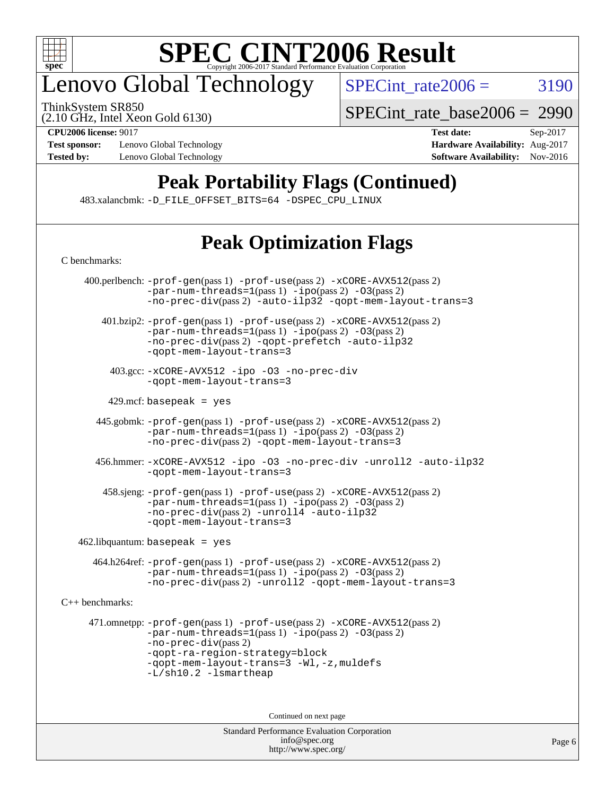

# enovo Global Technology

ThinkSystem SR850

 $SPECTnt_rate2006 = 3190$ 

(2.10 GHz, Intel Xeon Gold 6130)

[C benchmarks](http://www.spec.org/auto/cpu2006/Docs/result-fields.html#Cbenchmarks):

**[Test sponsor:](http://www.spec.org/auto/cpu2006/Docs/result-fields.html#Testsponsor)** Lenovo Global Technology **[Hardware Availability:](http://www.spec.org/auto/cpu2006/Docs/result-fields.html#HardwareAvailability)** Aug-2017

[SPECint\\_rate\\_base2006 =](http://www.spec.org/auto/cpu2006/Docs/result-fields.html#SPECintratebase2006) 2990

**[CPU2006 license:](http://www.spec.org/auto/cpu2006/Docs/result-fields.html#CPU2006license)** 9017 **[Test date:](http://www.spec.org/auto/cpu2006/Docs/result-fields.html#Testdate)** Sep-2017 **[Tested by:](http://www.spec.org/auto/cpu2006/Docs/result-fields.html#Testedby)** Lenovo Global Technology **[Software Availability:](http://www.spec.org/auto/cpu2006/Docs/result-fields.html#SoftwareAvailability)** Nov-2016

# **[Peak Portability Flags \(Continued\)](http://www.spec.org/auto/cpu2006/Docs/result-fields.html#PeakPortabilityFlags)**

483.xalancbmk: [-D\\_FILE\\_OFFSET\\_BITS=64](http://www.spec.org/cpu2006/results/res2017q4/cpu2006-20170918-49938.flags.html#user_peakPORTABILITY483_xalancbmk_file_offset_bits_64_438cf9856305ebd76870a2c6dc2689ab) [-DSPEC\\_CPU\\_LINUX](http://www.spec.org/cpu2006/results/res2017q4/cpu2006-20170918-49938.flags.html#b483.xalancbmk_peakCXXPORTABILITY_DSPEC_CPU_LINUX)

# **[Peak Optimization Flags](http://www.spec.org/auto/cpu2006/Docs/result-fields.html#PeakOptimizationFlags)**

| 400.perlbench: -prof-gen(pass 1) -prof-use(pass 2) -xCORE-AVX512(pass 2)<br>$-par-num-threads=1(pass 1) -ipo(pass 2) -03(pass 2)$<br>-no-prec-div(pass 2) -auto-ilp32 -qopt-mem-layout-trans=3                                                                       |  |  |  |  |  |  |
|----------------------------------------------------------------------------------------------------------------------------------------------------------------------------------------------------------------------------------------------------------------------|--|--|--|--|--|--|
| 401.bzip2: -prof-gen(pass 1) -prof-use(pass 2) -xCORE-AVX512(pass 2)<br>$-par-num-threads=1(pass 1) -ipo(pass 2) -03(pass 2)$<br>-no-prec-div(pass 2) -qopt-prefetch -auto-ilp32<br>-qopt-mem-layout-trans=3                                                         |  |  |  |  |  |  |
| 403.gcc: -xCORE-AVX512 -ipo -03 -no-prec-div<br>-gopt-mem-layout-trans=3                                                                                                                                                                                             |  |  |  |  |  |  |
| $429$ .mcf: basepeak = yes                                                                                                                                                                                                                                           |  |  |  |  |  |  |
| 445.gobmk: -prof-gen(pass 1) -prof-use(pass 2) -xCORE-AVX512(pass 2)<br>$-par-num-threads=1(pass 1) -ipo(pass 2) -03(pass 2)$<br>-no-prec-div(pass 2) -qopt-mem-layout-trans=3                                                                                       |  |  |  |  |  |  |
| 456.hmmer: -xCORE-AVX512 -ipo -03 -no-prec-div -unroll2 -auto-ilp32<br>-gopt-mem-layout-trans=3                                                                                                                                                                      |  |  |  |  |  |  |
| 458.sjeng: -prof-gen(pass 1) -prof-use(pass 2) -xCORE-AVX512(pass 2)<br>$-par-num-threads=1(pass 1) -ipo(pass 2) -03(pass 2)$<br>-no-prec-div(pass 2) -unroll4 -auto-ilp32<br>-gopt-mem-layout-trans=3                                                               |  |  |  |  |  |  |
| $462$ .libquantum: basepeak = yes                                                                                                                                                                                                                                    |  |  |  |  |  |  |
| 464.h264ref: -prof-gen(pass 1) -prof-use(pass 2) -xCORE-AVX512(pass 2)<br>$-par-num-threads=1(pass 1) -ipo(pass 2) -03(pass 2)$<br>-no-prec-div(pass 2) -unroll2 -qopt-mem-layout-trans=3                                                                            |  |  |  |  |  |  |
| $C_{++}$ benchmarks:                                                                                                                                                                                                                                                 |  |  |  |  |  |  |
| 471.omnetpp: -prof-gen(pass 1) -prof-use(pass 2) -xCORE-AVX512(pass 2)<br>$-par-num-threads=1(pass 1) -ipo(pass 2) -03(pass 2)$<br>$-no-prec-div(pass 2)$<br>-qopt-ra-region-strategy=block<br>-qopt-mem-layout-trans=3 -Wl,-z, muldefs<br>$-L/\nsh10.2$ -lsmartheap |  |  |  |  |  |  |
| Continued on next page                                                                                                                                                                                                                                               |  |  |  |  |  |  |
| <b>Standard Performance Evaluation Corporation</b>                                                                                                                                                                                                                   |  |  |  |  |  |  |

[info@spec.org](mailto:info@spec.org) <http://www.spec.org/>